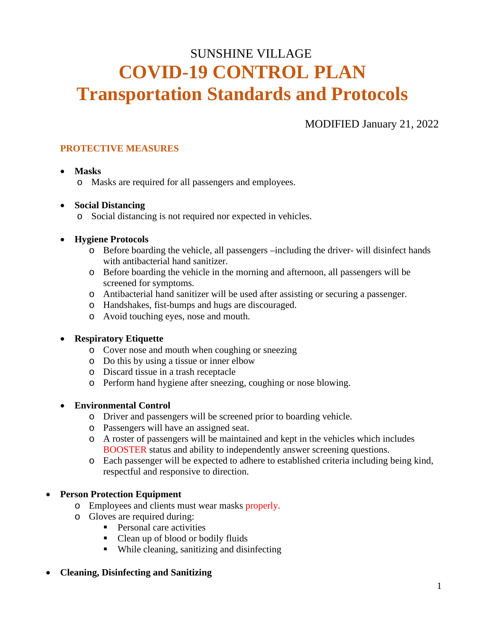# SUNSHINE VILLAGE **COVID-19 CONTROL PLAN Transportation Standards and Protocols**

## MODIFIED January 21, 2022

## **PROTECTIVE MEASURES**

## • **Masks**

o Masks are required for all passengers and employees.

## • **Social Distancing**

o Social distancing is not required nor expected in vehicles.

## • **Hygiene Protocols**

- o Before boarding the vehicle, all passengers –including the driver- will disinfect hands with antibacterial hand sanitizer.
- o Before boarding the vehicle in the morning and afternoon, all passengers will be screened for symptoms.
- o Antibacterial hand sanitizer will be used after assisting or securing a passenger.
- o Handshakes, fist-bumps and hugs are discouraged.
- o Avoid touching eyes, nose and mouth.

## • **Respiratory Etiquette**

- o Cover nose and mouth when coughing or sneezing
- o Do this by using a tissue or inner elbow
- o Discard tissue in a trash receptacle
- o Perform hand hygiene after sneezing, coughing or nose blowing.

## • **Environmental Control**

- o Driver and passengers will be screened prior to boarding vehicle.
- o Passengers will have an assigned seat.
- o A roster of passengers will be maintained and kept in the vehicles which includes BOOSTER status and ability to independently answer screening questions.
- o Each passenger will be expected to adhere to established criteria including being kind, respectful and responsive to direction.

## • **Person Protection Equipment**

- o Employees and clients must wear masks properly.
- o Gloves are required during:
	- **Personal care activities**
	- Clean up of blood or bodily fluids
	- While cleaning, sanitizing and disinfecting

## • **Cleaning, Disinfecting and Sanitizing**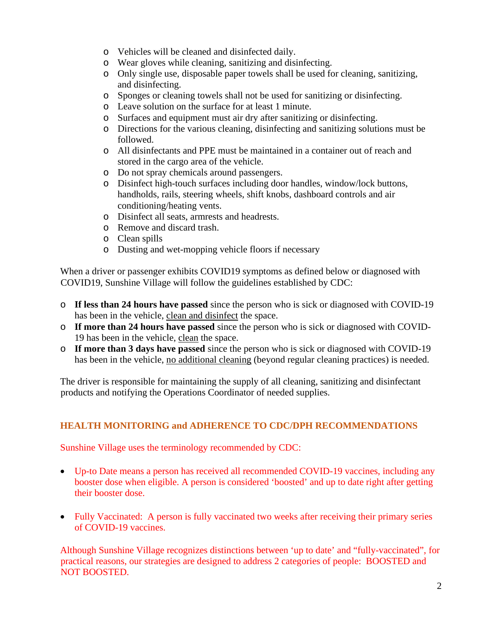- o Vehicles will be cleaned and disinfected daily.
- o Wear gloves while cleaning, sanitizing and disinfecting.
- o Only single use, disposable paper towels shall be used for cleaning, sanitizing, and disinfecting.
- o Sponges or cleaning towels shall not be used for sanitizing or disinfecting.
- o Leave solution on the surface for at least 1 minute.
- o Surfaces and equipment must air dry after sanitizing or disinfecting.
- o Directions for the various cleaning, disinfecting and sanitizing solutions must be followed.
- o All disinfectants and PPE must be maintained in a container out of reach and stored in the cargo area of the vehicle.
- o Do not spray chemicals around passengers.
- o Disinfect high-touch surfaces including door handles, window/lock buttons, handholds, rails, steering wheels, shift knobs, dashboard controls and air conditioning/heating vents.
- o Disinfect all seats, armrests and headrests.
- o Remove and discard trash.
- o Clean spills
- o Dusting and wet-mopping vehicle floors if necessary

When a driver or passenger exhibits COVID19 symptoms as defined below or diagnosed with COVID19, Sunshine Village will follow the guidelines established by CDC:

- o **If less than 24 hours have passed** since the person who is sick or diagnosed with COVID-19 has been in the vehicle, clean and disinfect the space.
- o **If more than 24 hours have passed** since the person who is sick or diagnosed with COVID-19 has been in the vehicle, clean the space.
- o **If more than 3 days have passed** since the person who is sick or diagnosed with COVID-19 has been in the vehicle, no additional cleaning (beyond regular cleaning practices) is needed.

The driver is responsible for maintaining the supply of all cleaning, sanitizing and disinfectant products and notifying the Operations Coordinator of needed supplies.

#### **HEALTH MONITORING and ADHERENCE TO CDC/DPH RECOMMENDATIONS**

Sunshine Village uses the terminology recommended by CDC:

- Up-to Date means a person has received all recommended COVID-19 vaccines, including any booster dose when eligible. A person is considered 'boosted' and up to date right after getting their booster dose.
- Fully Vaccinated: A person is fully vaccinated two weeks after receiving their primary series of COVID-19 vaccines.

Although Sunshine Village recognizes distinctions between 'up to date' and "fully-vaccinated", for practical reasons, our strategies are designed to address 2 categories of people: BOOSTED and NOT BOOSTED.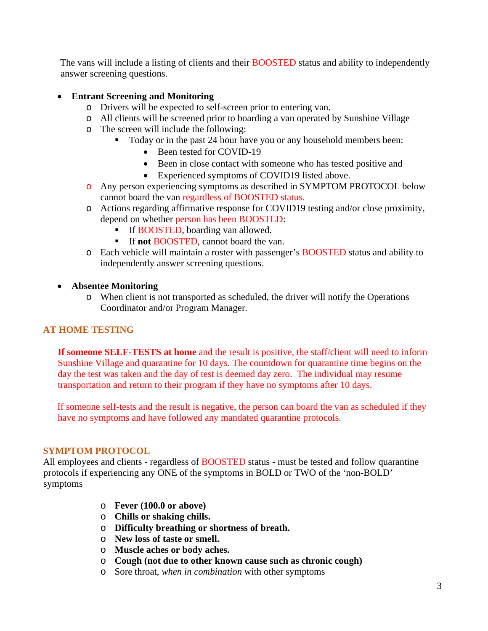The vans will include a listing of clients and their BOOSTED status and ability to independently answer screening questions.

#### • **Entrant Screening and Monitoring**

- o Drivers will be expected to self-screen prior to entering van.
- o All clients will be screened prior to boarding a van operated by Sunshine Village
- o The screen will include the following:
	- Today or in the past 24 hour have you or any household members been:
		- Been tested for COVID-19
		- Been in close contact with someone who has tested positive and
		- Experienced symptoms of COVID19 listed above.
- o Any person experiencing symptoms as described in SYMPTOM PROTOCOL below cannot board the van regardless of BOOSTED status.
- o Actions regarding affirmative response for COVID19 testing and/or close proximity, depend on whether person has been BOOSTED:
	- **If BOOSTED, boarding van allowed.**
	- If **not** BOOSTED, cannot board the van.
- o Each vehicle will maintain a roster with passenger's BOOSTED status and ability to independently answer screening questions.
- **Absentee Monitoring**
	- o When client is not transported as scheduled, the driver will notify the Operations Coordinator and/or Program Manager.

#### **AT HOME TESTING**

**If someone SELF-TESTS at home** and the result is positive, the staff/client will need to inform Sunshine Village and quarantine for 10 days. The countdown for quarantine time begins on the day the test was taken and the day of test is deemed day zero. The individual may resume transportation and return to their program if they have no symptoms after 10 days.

If someone self-tests and the result is negative, the person can board the van as scheduled if they have no symptoms and have followed any mandated quarantine protocols.

#### **SYMPTOM PROTOCOL**

All employees and clients - regardless of **BOOSTED** status - must be tested and follow quarantine protocols if experiencing any ONE of the symptoms in BOLD or TWO of the 'non-BOLD' symptoms

- o **Fever (100.0 or above)**
- o **Chills or shaking chills.**
- o **Difficulty breathing or shortness of breath.**
- o **New loss of taste or smell.**
- o **Muscle aches or body aches.**
- o **Cough (not due to other known cause such as chronic cough)**
- o Sore throat, *when in combination* with other symptoms